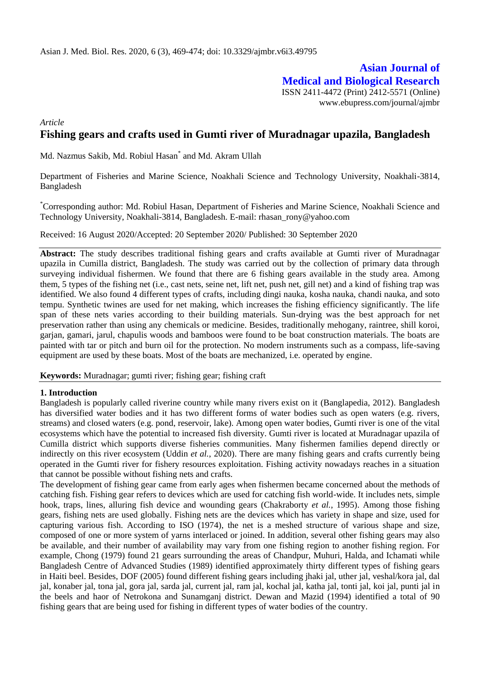# **Asian Journal of Medical and Biological Research**

ISSN 2411-4472 (Print) 2412-5571 (Online) www.ebupress.com/journal/ajmbr

*Article*

# **Fishing gears and crafts used in Gumti river of Muradnagar upazila, Bangladesh**

Md. Nazmus Sakib, Md. Robiul Hasan\* and Md. Akram Ullah

Department of Fisheries and Marine Science, Noakhali Science and Technology University, Noakhali-3814, Bangladesh

\*Corresponding author: Md. Robiul Hasan, Department of Fisheries and Marine Science, Noakhali Science and Technology University, Noakhali-3814, Bangladesh. E-mail: rhasan\_rony@yahoo.com

Received: 16 August 2020/Accepted: 20 September 2020/ Published: 30 September 2020

**Abstract:** The study describes traditional fishing gears and crafts available at Gumti river of Muradnagar upazila in Cumilla district, Bangladesh. The study was carried out by the collection of primary data through surveying individual fishermen. We found that there are 6 fishing gears available in the study area. Among them, 5 types of the fishing net (i.e., cast nets, seine net, lift net, push net, gill net) and a kind of fishing trap was identified. We also found 4 different types of crafts, including dingi nauka, kosha nauka, chandi nauka, and soto tempu. Synthetic twines are used for net making, which increases the fishing efficiency significantly. The life span of these nets varies according to their building materials. Sun-drying was the best approach for net preservation rather than using any chemicals or medicine. Besides, traditionally mehogany, raintree, shill koroi, garjan, gamari, jarul, chapulis woods and bamboos were found to be boat construction materials. The boats are painted with tar or pitch and burn oil for the protection. No modern instruments such as a compass, life-saving equipment are used by these boats. Most of the boats are mechanized, i.e. operated by engine.

**Keywords:** Muradnagar; gumti river; fishing gear; fishing craft

#### **1. Introduction**

Bangladesh is popularly called riverine country while many rivers exist on it (Banglapedia, 2012). Bangladesh has diversified water bodies and it has two different forms of water bodies such as open waters (e.g. rivers, streams) and closed waters (e.g. pond, reservoir, lake). Among open water bodies, Gumti river is one of the vital ecosystems which have the potential to increased fish diversity. Gumti river is located at Muradnagar upazila of Cumilla district which supports diverse fisheries communities. Many fishermen families depend directly or indirectly on this river ecosystem (Uddin *et al.*, 2020). There are many fishing gears and crafts currently being operated in the Gumti river for fishery resources exploitation. Fishing activity nowadays reaches in a situation that cannot be possible without fishing nets and crafts.

The development of fishing gear came from early ages when fishermen became concerned about the methods of catching fish. Fishing gear refers to devices which are used for catching fish world-wide. It includes nets, simple hook, traps, lines, alluring fish device and wounding gears (Chakraborty *et al.*, 1995). Among those fishing gears, fishing nets are used globally. Fishing nets are the devices which has variety in shape and size, used for capturing various fish. According to ISO (1974), the net is a meshed structure of various shape and size, composed of one or more system of yarns interlaced or joined. In addition, several other fishing gears may also be available, and their number of availability may vary from one fishing region to another fishing region. For example, Chong (1979) found 21 gears surrounding the areas of Chandpur, Muhuri, Halda, and Ichamati while Bangladesh Centre of Advanced Studies (1989) identified approximately thirty different types of fishing gears in Haiti beel. Besides, DOF (2005) found different fishing gears including jhaki jal, uther jal, veshal/kora jal, dal jal, konaber jal, tona jal, gora jal, sarda jal, current jal, ram jal, kochal jal, katha jal, tonti jal, koi jal, punti jal in the beels and haor of Netrokona and Sunamganj district. Dewan and Mazid (1994) identified a total of 90 fishing gears that are being used for fishing in different types of water bodies of the country.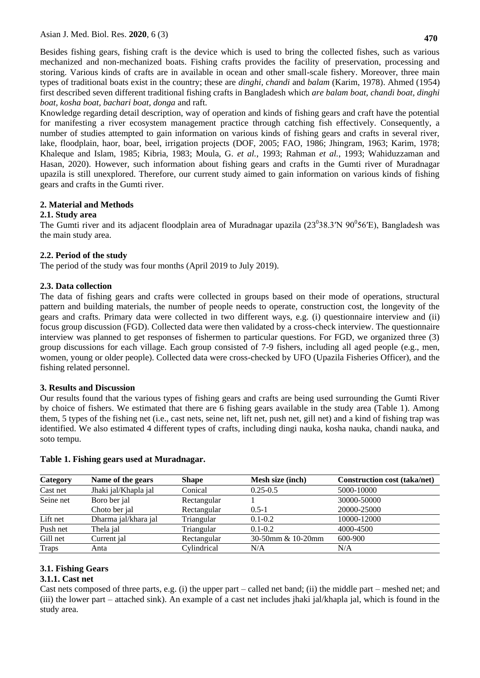Asian J. Med. Biol. Res. **2020**, 6 (3)

Besides fishing gears, fishing craft is the device which is used to bring the collected fishes, such as various mechanized and non-mechanized boats. Fishing crafts provides the facility of preservation, processing and storing. Various kinds of crafts are in available in ocean and other small-scale fishery. Moreover, three main types of traditional boats exist in the country; these are *dinghi, chandi* and *balam* (Karim, 1978). Ahmed (1954) first described seven different traditional fishing crafts in Bangladesh which *are balam boat, chandi boat, dinghi boat, kosha boat, bachari boat, donga* and raft.

Knowledge regarding detail description, way of operation and kinds of fishing gears and craft have the potential for manifesting a river ecosystem management practice through catching fish effectively. Consequently, a number of studies attempted to gain information on various kinds of fishing gears and crafts in several river, lake, floodplain, haor, boar, beel, irrigation projects (DOF, 2005; FAO, 1986; Jhingram, 1963; Karim, 1978; Khaleque and Islam, 1985; Kibria, 1983; Moula, G. *et al.*, 1993; Rahman *et al.*, 1993; Wahiduzzaman and Hasan, 2020). However, such information about fishing gears and crafts in the Gumti river of Muradnagar upazila is still unexplored. Therefore, our current study aimed to gain information on various kinds of fishing gears and crafts in the Gumti river.

# **2. Material and Methods**

## **2.1. Study area**

The Gumti river and its adjacent floodplain area of Muradnagar upazila  $(23^038.3^{\circ}N)90^056^{\circ}E$ ), Bangladesh was the main study area.

## **2.2. Period of the study**

The period of the study was four months (April 2019 to July 2019).

## **2.3. Data collection**

The data of fishing gears and crafts were collected in groups based on their mode of operations, structural pattern and building materials, the number of people needs to operate, construction cost, the longevity of the gears and crafts. Primary data were collected in two different ways, e.g. (i) questionnaire interview and (ii) focus group discussion (FGD). Collected data were then validated by a cross-check interview. The questionnaire interview was planned to get responses of fishermen to particular questions. For FGD, we organized three (3) group discussions for each village. Each group consisted of 7-9 fishers, including all aged people (e.g., men, women, young or older people). Collected data were cross-checked by UFO (Upazila Fisheries Officer), and the fishing related personnel.

#### **3. Results and Discussion**

Our results found that the various types of fishing gears and crafts are being used surrounding the Gumti River by choice of fishers. We estimated that there are 6 fishing gears available in the study area (Table 1). Among them, 5 types of the fishing net (i.e., cast nets, seine net, lift net, push net, gill net) and a kind of fishing trap was identified. We also estimated 4 different types of crafts, including dingi nauka, kosha nauka, chandi nauka, and soto tempu.

| <b>Category</b> | Name of the gears    | Shape       | Mesh size (inch)  | <b>Construction cost (taka/net)</b> |
|-----------------|----------------------|-------------|-------------------|-------------------------------------|
| Cast net        | Jhaki jal/Khapla jal | Conical     | $0.25 - 0.5$      | 5000-10000                          |
| Seine net       | Boro ber jal         | Rectangular |                   | 30000-50000                         |
|                 | Choto ber jal        | Rectangular | $0.5 - 1$         | 20000-25000                         |
| Lift net        | Dharma jal/khara jal | Triangular  | $0.1 - 0.2$       | 10000-12000                         |
| Push net        | Thela jal            | Triangular  | $0.1 - 0.2$       | 4000-4500                           |
| Gill net        | Current jal          | Rectangular | 30-50mm & 10-20mm | 600-900                             |
| Traps           | Anta                 | Cylindrical | N/A               | N/A                                 |

#### **Table 1. Fishing gears used at Muradnagar.**

#### **3.1. Fishing Gears**

#### **3.1.1. Cast net**

Cast nets composed of three parts, e.g. (i) the upper part – called net band; (ii) the middle part – meshed net; and (iii) the lower part – attached sink). An example of a cast net includes jhaki jal/khapla jal, which is found in the study area.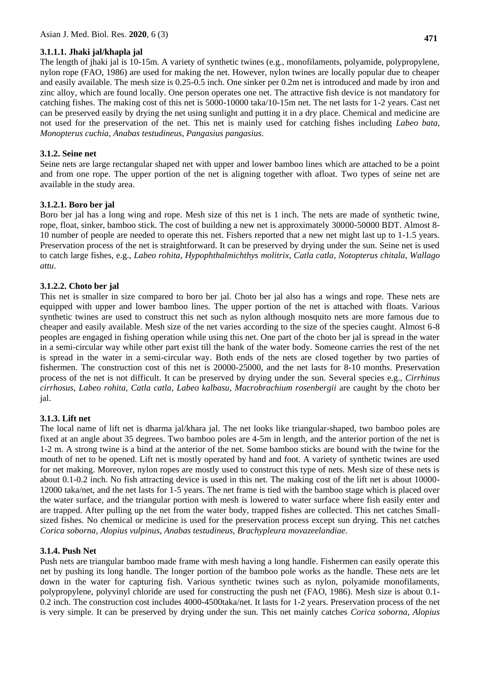## **3.1.1.1. Jhaki jal/khapla jal**

The length of jhaki jal is 10-15m. A variety of synthetic twines (e.g., monofilaments, polyamide, polypropylene, nylon rope (FAO, 1986) are used for making the net. However, nylon twines are locally popular due to cheaper and easily available. The mesh size is 0.25-0.5 inch. One sinker per 0.2m net is introduced and made by iron and zinc alloy, which are found locally. One person operates one net. The attractive fish device is not mandatory for catching fishes. The making cost of this net is 5000-10000 taka/10-15m net. The net lasts for 1-2 years. Cast net can be preserved easily by drying the net using sunlight and putting it in a dry place. Chemical and medicine are not used for the preservation of the net. This net is mainly used for catching fishes including *Labeo bata*, *Monopterus cuchia*, *Anabas testudineus*, *Pangasius pangasius*.

# **3.1.2. Seine net**

Seine nets are large rectangular shaped net with upper and lower bamboo lines which are attached to be a point and from one rope. The upper portion of the net is aligning together with afloat. Two types of seine net are available in the study area.

# **3.1.2.1. Boro ber jal**

Boro ber jal has a long wing and rope. Mesh size of this net is 1 inch. The nets are made of synthetic twine, rope, float, sinker, bamboo stick. The cost of building a new net is approximately 30000-50000 BDT. Almost 8- 10 number of people are needed to operate this net. Fishers reported that a new net might last up to 1-1.5 years. Preservation process of the net is straightforward. It can be preserved by drying under the sun. Seine net is used to catch large fishes, e.g., *Labeo rohita*, *Hypophthalmichthys molitrix*, *Catla catla*, *Notopterus chitala*, *Wallago attu*.

# **3.1.2.2. Choto ber jal**

This net is smaller in size compared to boro ber jal*.* Choto ber jal also has a wings and rope. These nets are equipped with upper and lower bamboo lines. The upper portion of the net is attached with floats. Various synthetic twines are used to construct this net such as nylon although mosquito nets are more famous due to cheaper and easily available. Mesh size of the net varies according to the size of the species caught. Almost 6-8 peoples are engaged in fishing operation while using this net. One part of the choto ber jal is spread in the water in a semi-circular way while other part exist till the bank of the water body. Someone carries the rest of the net is spread in the water in a semi-circular way. Both ends of the nets are closed together by two parties of fishermen. The construction cost of this net is 20000-25000, and the net lasts for 8-10 months. Preservation process of the net is not difficult. It can be preserved by drying under the sun. Several species e.g., *Cirrhinus cirrhosus*, *Labeo rohita*, *Catla catla*, *Labeo kalbasu*, *Macrobrachium rosenbergii* are caught by the choto ber jal.

# **3.1.3. Lift net**

The local name of lift net is dharma jal/khara jal. The net looks like triangular-shaped, two bamboo poles are fixed at an angle about 35 degrees. Two bamboo poles are 4-5m in length, and the anterior portion of the net is 1-2 m. A strong twine is a bind at the anterior of the net. Some bamboo sticks are bound with the twine for the mouth of net to be opened. Lift net is mostly operated by hand and foot. A variety of synthetic twines are used for net making. Moreover, nylon ropes are mostly used to construct this type of nets. Mesh size of these nets is about 0.1-0.2 inch. No fish attracting device is used in this net. The making cost of the lift net is about 10000- 12000 taka/net, and the net lasts for 1-5 years. The net frame is tied with the bamboo stage which is placed over the water surface, and the triangular portion with mesh is lowered to water surface where fish easily enter and are trapped. After pulling up the net from the water body, trapped fishes are collected. This net catches Smallsized fishes. No chemical or medicine is used for the preservation process except sun drying. This net catches *Corica soborna*, *Alopius vulpinus, Anabas testudineus*, *Brachypleura movazeelandiae.*

#### **3.1.4. Push Net**

Push nets are triangular bamboo made frame with mesh having a long handle. Fishermen can easily operate this net by pushing its long handle. The longer portion of the bamboo pole works as the handle. These nets are let down in the water for capturing fish. Various synthetic twines such as nylon, polyamide monofilaments, polypropylene, polyvinyl chloride are used for constructing the push net (FAO, 1986). Mesh size is about 0.1- 0.2 inch. The construction cost includes 4000-4500taka/net. It lasts for 1-2 years. Preservation process of the net is very simple. It can be preserved by drying under the sun. This net mainly catches *Corica soborna*, *Alopius*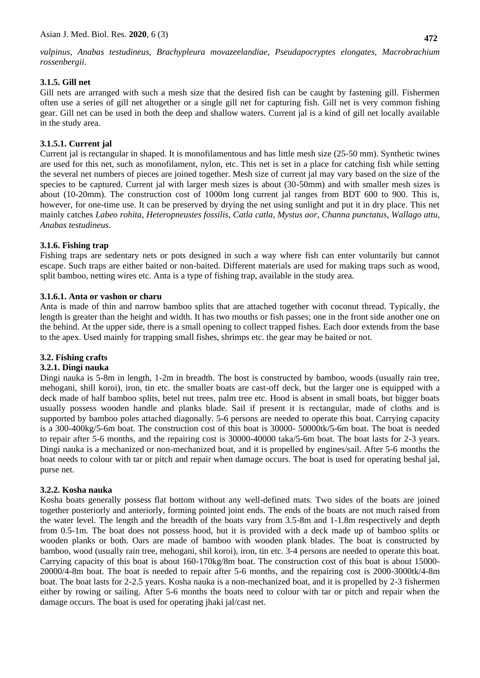*vulpinus*, *Anabas testudineus*, *Brachypleura movazeelandiae*, *Pseudapocryptes elongates, Macrobrachium rossenbergii*.

#### **3.1.5. Gill net**

Gill nets are arranged with such a mesh size that the desired fish can be caught by fastening gill. Fishermen often use a series of gill net altogether or a single gill net for capturing fish. Gill net is very common fishing gear. Gill net can be used in both the deep and shallow waters. Current jal is a kind of gill net locally available in the study area.

#### **3.1.5.1. Current jal**

Current jal is rectangular in shaped. It is monofilamentous and has little mesh size (25-50 mm). Synthetic twines are used for this net, such as monofilament, nylon, etc. This net is set in a place for catching fish while setting the several net numbers of pieces are joined together. Mesh size of current jal may vary based on the size of the species to be captured. Current jal with larger mesh sizes is about (30-50mm) and with smaller mesh sizes is about (10-20mm). The construction cost of 1000m long current jal ranges from BDT 600 to 900. This is, however, for one-time use. It can be preserved by drying the net using sunlight and put it in dry place. This net mainly catches *Labeo rohita*, *Heteropneustes fossilis, Catla catla*, *Mystus aor*, *Channa punctatus*, *Wallago attu, Anabas testudineus*.

## **3.1.6. Fishing trap**

Fishing traps are sedentary nets or pots designed in such a way where fish can enter voluntarily but cannot escape. Such traps are either baited or non-baited. Different materials are used for making traps such as wood, split bamboo, netting wires etc. Anta is a type of fishing trap, available in the study area.

## **3.1.6.1. Anta or vashon or charu**

Anta is made of thin and narrow bamboo splits that are attached together with coconut thread. Typically, the length is greater than the height and width. It has two mouths or fish passes; one in the front side another one on the behind. At the upper side, there is a small opening to collect trapped fishes. Each door extends from the base to the apex. Used mainly for trapping small fishes, shrimps etc. the gear may be baited or not.

# **3.2. Fishing crafts**

#### **3.2.1. Dingi nauka**

Dingi nauka is 5-8m in length, 1-2m in breadth. The bost is constructed by bamboo, woods (usually rain tree, mehogani, shill koroi), iron, tin etc. the smaller boats are cast-off deck, but the larger one is equipped with a deck made of half bamboo splits, betel nut trees, palm tree etc. Hood is absent in small boats, but bigger boats usually possess wooden handle and planks blade. Sail if present it is rectangular, made of cloths and is supported by bamboo poles attached diagonally. 5-6 persons are needed to operate this boat. Carrying capacity is a 300-400kg/5-6m boat. The construction cost of this boat is 30000- 50000tk/5-6m boat. The boat is needed to repair after 5-6 months, and the repairing cost is 30000-40000 taka/5-6m boat. The boat lasts for 2-3 years. Dingi nauka is a mechanized or non-mechanized boat, and it is propelled by engines/sail. After 5-6 months the boat needs to colour with tar or pitch and repair when damage occurs. The boat is used for operating beshal jal, purse net.

#### **3.2.2. Kosha nauka**

Kosha boats generally possess flat bottom without any well-defined mats. Two sides of the boats are joined together posteriorly and anteriorly, forming pointed joint ends. The ends of the boats are not much raised from the water level. The length and the breadth of the boats vary from 3.5-8m and 1-1.8m respectively and depth from 0.5-1m. The boat does not possess hood, but it is provided with a deck made up of bamboo splits or wooden planks or both. Oars are made of bamboo with wooden plank blades. The boat is constructed by bamboo, wood (usually rain tree, mehogani, shil koroi), iron, tin etc. 3-4 persons are needed to operate this boat. Carrying capacity of this boat is about 160-170kg/8m boat. The construction cost of this boat is about 15000- 20000/4-8m boat. The boat is needed to repair after 5-6 months, and the repairing cost is 2000-3000tk/4-8m boat. The boat lasts for 2-2.5 years. Kosha nauka is a non-mechanized boat, and it is propelled by 2-3 fishermen either by rowing or sailing. After 5-6 months the boats need to colour with tar or pitch and repair when the damage occurs. The boat is used for operating jhaki jal/cast net.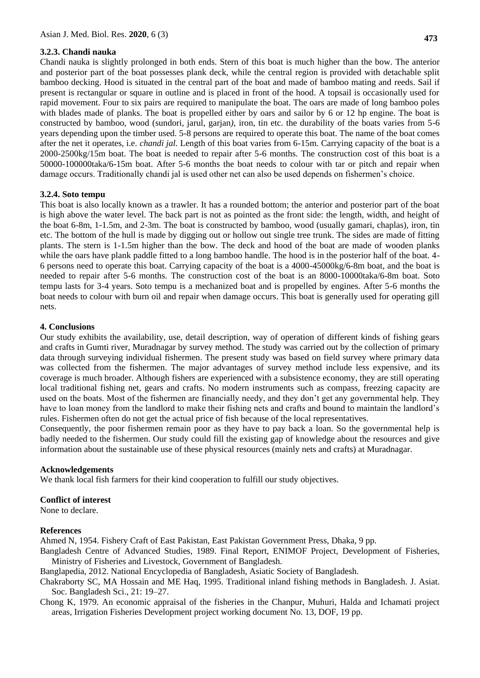#### **3.2.3. Chandi nauka**

**473**

Chandi nauka is slightly prolonged in both ends. Stern of this boat is much higher than the bow. The anterior and posterior part of the boat possesses plank deck, while the central region is provided with detachable split bamboo decking. Hood is situated in the central part of the boat and made of bamboo mating and reeds. Sail if present is rectangular or square in outline and is placed in front of the hood. A topsail is occasionally used for rapid movement. Four to six pairs are required to manipulate the boat. The oars are made of long bamboo poles with blades made of planks. The boat is propelled either by oars and sailor by 6 or 12 hp engine. The boat is constructed by bamboo, wood (sundori, jarul, garjan*)*, iron, tin etc. the durability of the boats varies from 5-6 years depending upon the timber used. 5-8 persons are required to operate this boat. The name of the boat comes after the net it operates, i.e. *chandi jal.* Length of this boat varies from 6-15m. Carrying capacity of the boat is a 2000-2500kg/15m boat. The boat is needed to repair after 5-6 months. The construction cost of this boat is a 50000-100000taka/6-15m boat. After 5-6 months the boat needs to colour with tar or pitch and repair when damage occurs. Traditionally chandi jal is used other net can also be used depends on fishermen's choice.

#### **3.2.4. Soto tempu**

This boat is also locally known as a trawler. It has a rounded bottom; the anterior and posterior part of the boat is high above the water level. The back part is not as pointed as the front side: the length, width, and height of the boat 6-8m, 1-1.5m, and 2-3m. The boat is constructed by bamboo, wood (usually gamari, chaplas), iron, tin etc. The bottom of the hull is made by digging out or hollow out single tree trunk. The sides are made of fitting plants. The stern is 1-1.5m higher than the bow. The deck and hood of the boat are made of wooden planks while the oars have plank paddle fitted to a long bamboo handle. The hood is in the posterior half of the boat. 4-6 persons need to operate this boat. Carrying capacity of the boat is a 4000-45000kg/6-8m boat, and the boat is needed to repair after 5-6 months. The construction cost of the boat is an 8000-10000taka/6-8m boat. Soto tempu lasts for 3-4 years. Soto tempu is a mechanized boat and is propelled by engines. After 5-6 months the boat needs to colour with burn oil and repair when damage occurs. This boat is generally used for operating gill nets.

#### **4. Conclusions**

Our study exhibits the availability, use, detail description, way of operation of different kinds of fishing gears and crafts in Gumti river, Muradnagar by survey method. The study was carried out by the collection of primary data through surveying individual fishermen. The present study was based on field survey where primary data was collected from the fishermen. The major advantages of survey method include less expensive, and its coverage is much broader. Although fishers are experienced with a subsistence economy, they are still operating local traditional fishing net, gears and crafts. No modern instruments such as compass, freezing capacity are used on the boats. Most of the fishermen are financially needy, and they don't get any governmental help. They have to loan money from the landlord to make their fishing nets and crafts and bound to maintain the landlord's rules. Fishermen often do not get the actual price of fish because of the local representatives.

Consequently, the poor fishermen remain poor as they have to pay back a loan. So the governmental help is badly needed to the fishermen. Our study could fill the existing gap of knowledge about the resources and give information about the sustainable use of these physical resources (mainly nets and crafts) at Muradnagar.

#### **Acknowledgements**

We thank local fish farmers for their kind cooperation to fulfill our study objectives.

#### **Conflict of interest**

None to declare.

#### **References**

Ahmed N, 1954. Fishery Craft of East Pakistan, East Pakistan Government Press, Dhaka, 9 pp.

Bangladesh Centre of Advanced Studies, 1989. Final Report, ENIMOF Project, Development of Fisheries, Ministry of Fisheries and Livestock, Government of Bangladesh.

Banglapedia, 2012. National Encyclopedia of Bangladesh, Asiatic Society of Bangladesh.

- Chakraborty SC, MA Hossain and ME Haq, 1995. Traditional inland fishing methods in Bangladesh. J. Asiat. Soc. Bangladesh Sci., 21: 19–27.
- Chong K, 1979. An economic appraisal of the fisheries in the Chanpur, Muhuri, Halda and Ichamati project areas, Irrigation Fisheries Development project working document No. 13, DOF, 19 pp.